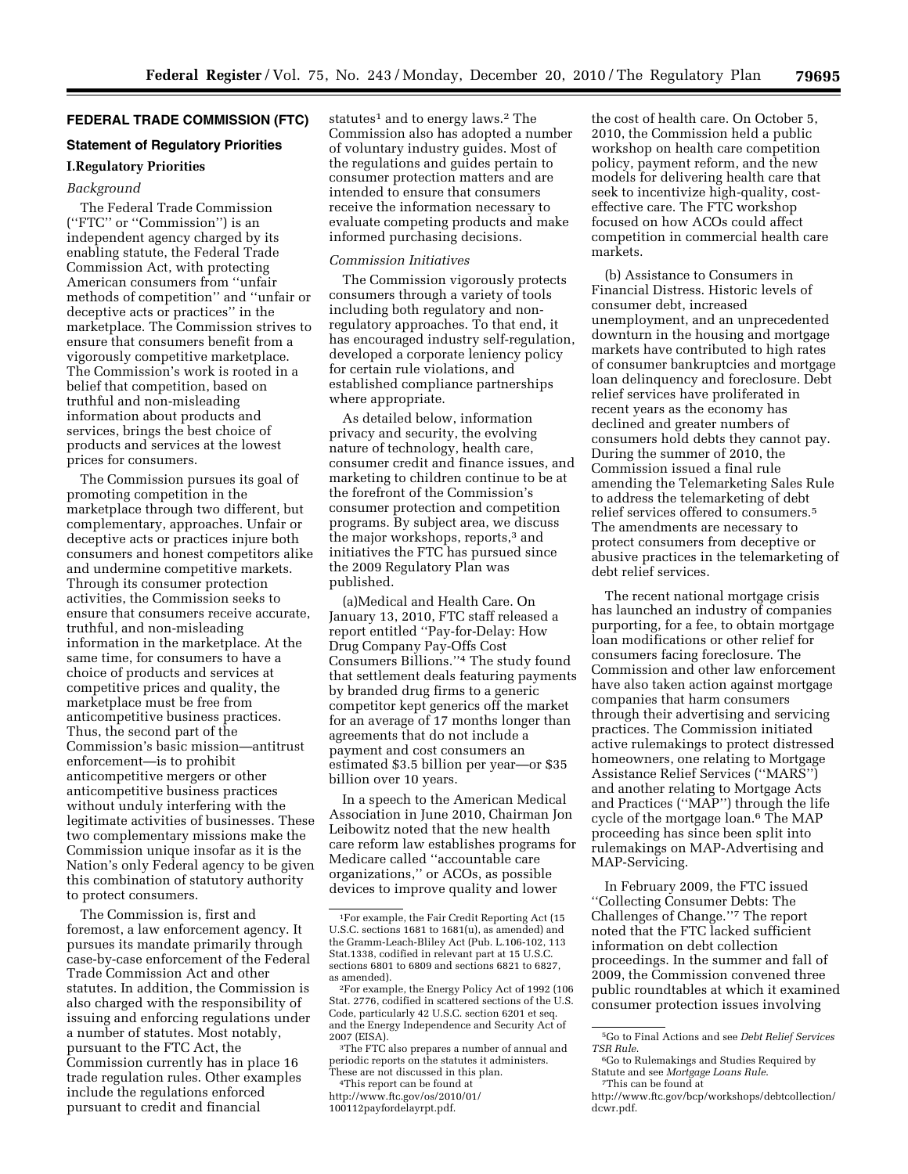# **FEDERAL TRADE COMMISSION (FTC)**

# **Statement of Regulatory Priorities**

# **I.Regulatory Priorities**

# *Background*

The Federal Trade Commission (''FTC'' or ''Commission'') is an independent agency charged by its enabling statute, the Federal Trade Commission Act, with protecting American consumers from ''unfair methods of competition'' and ''unfair or deceptive acts or practices'' in the marketplace. The Commission strives to ensure that consumers benefit from a vigorously competitive marketplace. The Commission's work is rooted in a belief that competition, based on truthful and non-misleading information about products and services, brings the best choice of products and services at the lowest prices for consumers.

The Commission pursues its goal of promoting competition in the marketplace through two different, but complementary, approaches. Unfair or deceptive acts or practices injure both consumers and honest competitors alike and undermine competitive markets. Through its consumer protection activities, the Commission seeks to ensure that consumers receive accurate, truthful, and non-misleading information in the marketplace. At the same time, for consumers to have a choice of products and services at competitive prices and quality, the marketplace must be free from anticompetitive business practices. Thus, the second part of the Commission's basic mission—antitrust enforcement—is to prohibit anticompetitive mergers or other anticompetitive business practices without unduly interfering with the legitimate activities of businesses. These two complementary missions make the Commission unique insofar as it is the Nation's only Federal agency to be given this combination of statutory authority to protect consumers.

The Commission is, first and foremost, a law enforcement agency. It pursues its mandate primarily through case-by-case enforcement of the Federal Trade Commission Act and other statutes. In addition, the Commission is also charged with the responsibility of issuing and enforcing regulations under a number of statutes. Most notably, pursuant to the FTC Act, the Commission currently has in place 16 trade regulation rules. Other examples include the regulations enforced pursuant to credit and financial

statutes<sup>1</sup> and to energy laws.<sup>2</sup> The Commission also has adopted a number of voluntary industry guides. Most of the regulations and guides pertain to consumer protection matters and are intended to ensure that consumers receive the information necessary to evaluate competing products and make informed purchasing decisions.

#### *Commission Initiatives*

The Commission vigorously protects consumers through a variety of tools including both regulatory and nonregulatory approaches. To that end, it has encouraged industry self-regulation, developed a corporate leniency policy for certain rule violations, and established compliance partnerships where appropriate.

As detailed below, information privacy and security, the evolving nature of technology, health care, consumer credit and finance issues, and marketing to children continue to be at the forefront of the Commission's consumer protection and competition programs. By subject area, we discuss the major workshops, reports,<sup>3</sup> and initiatives the FTC has pursued since the 2009 Regulatory Plan was published.

(a)Medical and Health Care. On January 13, 2010, FTC staff released a report entitled ''Pay-for-Delay: How Drug Company Pay-Offs Cost Consumers Billions.''4 The study found that settlement deals featuring payments by branded drug firms to a generic competitor kept generics off the market for an average of 17 months longer than agreements that do not include a payment and cost consumers an estimated \$3.5 billion per year—or \$35 billion over 10 years.

In a speech to the American Medical Association in June 2010, Chairman Jon Leibowitz noted that the new health care reform law establishes programs for Medicare called ''accountable care organizations,'' or ACOs, as possible devices to improve quality and lower

<sup>3</sup>The FTC also prepares a number of annual and periodic reports on the statutes it administers.

These are not discussed in this plan. 4This report can be found at http://www.ftc.gov/os/2010/01/ 100112payfordelayrpt.pdf.

the cost of health care. On October 5, 2010, the Commission held a public workshop on health care competition policy, payment reform, and the new models for delivering health care that seek to incentivize high-quality, costeffective care. The FTC workshop focused on how ACOs could affect competition in commercial health care markets.

(b) Assistance to Consumers in Financial Distress. Historic levels of consumer debt, increased unemployment, and an unprecedented downturn in the housing and mortgage markets have contributed to high rates of consumer bankruptcies and mortgage loan delinquency and foreclosure. Debt relief services have proliferated in recent years as the economy has declined and greater numbers of consumers hold debts they cannot pay. During the summer of 2010, the Commission issued a final rule amending the Telemarketing Sales Rule to address the telemarketing of debt relief services offered to consumers.5 The amendments are necessary to protect consumers from deceptive or abusive practices in the telemarketing of debt relief services.

The recent national mortgage crisis has launched an industry of companies purporting, for a fee, to obtain mortgage loan modifications or other relief for consumers facing foreclosure. The Commission and other law enforcement have also taken action against mortgage companies that harm consumers through their advertising and servicing practices. The Commission initiated active rulemakings to protect distressed homeowners, one relating to Mortgage Assistance Relief Services (''MARS'') and another relating to Mortgage Acts and Practices (''MAP'') through the life cycle of the mortgage loan.6 The MAP proceeding has since been split into rulemakings on MAP-Advertising and MAP-Servicing.

In February 2009, the FTC issued ''Collecting Consumer Debts: The Challenges of Change.''7 The report noted that the FTC lacked sufficient information on debt collection proceedings. In the summer and fall of 2009, the Commission convened three public roundtables at which it examined consumer protection issues involving

<sup>1</sup>For example, the Fair Credit Reporting Act (15 U.S.C. sections 1681 to 1681(u), as amended) and the Gramm-Leach-Bliley Act (Pub. L.106-102, 113 Stat.1338, codified in relevant part at 15 U.S.C. sections 6801 to 6809 and sections 6821 to 6827,

<sup>&</sup>lt;sup>2</sup>For example, the Energy Policy Act of 1992 (106 Stat. 2776, codified in scattered sections of the U.S. Code, particularly 42 U.S.C. section 6201 et seq. and the Energy Independence and Security Act of

<sup>5</sup>Go to Final Actions and see *Debt Relief Services* 

<sup>&</sup>lt;sup>6</sup>Go to Rulemakings and Studies Required by Statute and see *Mortgage Loans Rule*. 7This can be found at

http://www.ftc.gov/bcp/workshops/debtcollection/ dcwr.pdf.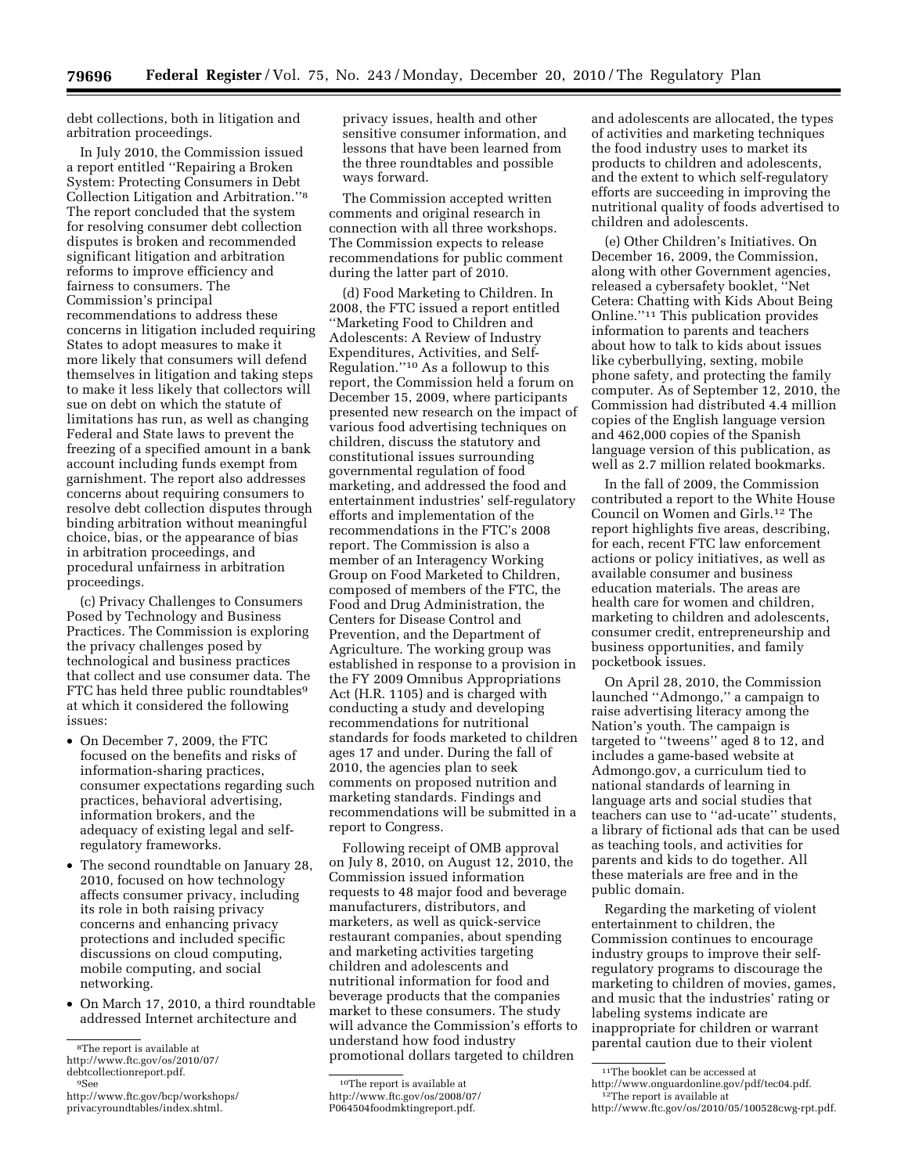debt collections, both in litigation and arbitration proceedings.

In July 2010, the Commission issued a report entitled ''Repairing a Broken System: Protecting Consumers in Debt Collection Litigation and Arbitration.''8 The report concluded that the system for resolving consumer debt collection disputes is broken and recommended significant litigation and arbitration reforms to improve efficiency and fairness to consumers. The Commission's principal recommendations to address these concerns in litigation included requiring States to adopt measures to make it more likely that consumers will defend themselves in litigation and taking steps to make it less likely that collectors will sue on debt on which the statute of limitations has run, as well as changing Federal and State laws to prevent the freezing of a specified amount in a bank account including funds exempt from garnishment. The report also addresses concerns about requiring consumers to resolve debt collection disputes through binding arbitration without meaningful choice, bias, or the appearance of bias in arbitration proceedings, and procedural unfairness in arbitration proceedings.

(c) Privacy Challenges to Consumers Posed by Technology and Business Practices. The Commission is exploring the privacy challenges posed by technological and business practices that collect and use consumer data. The FTC has held three public roundtables<sup>9</sup> at which it considered the following issues:

- On December 7, 2009, the FTC focused on the benefits and risks of information-sharing practices, consumer expectations regarding such practices, behavioral advertising, information brokers, and the adequacy of existing legal and selfregulatory frameworks.
- The second roundtable on January 28, 2010, focused on how technology affects consumer privacy, including its role in both raising privacy concerns and enhancing privacy protections and included specific discussions on cloud computing, mobile computing, and social networking.
- On March 17, 2010, a third roundtable addressed Internet architecture and

privacy issues, health and other sensitive consumer information, and lessons that have been learned from the three roundtables and possible ways forward.

The Commission accepted written comments and original research in connection with all three workshops. The Commission expects to release recommendations for public comment during the latter part of 2010.

(d) Food Marketing to Children. In 2008, the FTC issued a report entitled ''Marketing Food to Children and Adolescents: A Review of Industry Expenditures, Activities, and Self-Regulation.''10 As a followup to this report, the Commission held a forum on December 15, 2009, where participants presented new research on the impact of various food advertising techniques on children, discuss the statutory and constitutional issues surrounding governmental regulation of food marketing, and addressed the food and entertainment industries' self-regulatory efforts and implementation of the recommendations in the FTC's 2008 report. The Commission is also a member of an Interagency Working Group on Food Marketed to Children, composed of members of the FTC, the Food and Drug Administration, the Centers for Disease Control and Prevention, and the Department of Agriculture. The working group was established in response to a provision in the FY 2009 Omnibus Appropriations Act (H.R. 1105) and is charged with conducting a study and developing recommendations for nutritional standards for foods marketed to children ages 17 and under. During the fall of 2010, the agencies plan to seek comments on proposed nutrition and marketing standards. Findings and recommendations will be submitted in a report to Congress.

Following receipt of OMB approval on July 8, 2010, on August 12, 2010, the Commission issued information requests to 48 major food and beverage manufacturers, distributors, and marketers, as well as quick-service restaurant companies, about spending and marketing activities targeting children and adolescents and nutritional information for food and beverage products that the companies market to these consumers. The study will advance the Commission's efforts to understand how food industry promotional dollars targeted to children

and adolescents are allocated, the types of activities and marketing techniques the food industry uses to market its products to children and adolescents, and the extent to which self-regulatory efforts are succeeding in improving the nutritional quality of foods advertised to children and adolescents.

(e) Other Children's Initiatives. On December 16, 2009, the Commission, along with other Government agencies, released a cybersafety booklet, ''Net Cetera: Chatting with Kids About Being Online.''11 This publication provides information to parents and teachers about how to talk to kids about issues like cyberbullying, sexting, mobile phone safety, and protecting the family computer. As of September 12, 2010, the Commission had distributed 4.4 million copies of the English language version and 462,000 copies of the Spanish language version of this publication, as well as 2.7 million related bookmarks.

In the fall of 2009, the Commission contributed a report to the White House Council on Women and Girls.12 The report highlights five areas, describing, for each, recent FTC law enforcement actions or policy initiatives, as well as available consumer and business education materials. The areas are health care for women and children, marketing to children and adolescents, consumer credit, entrepreneurship and business opportunities, and family pocketbook issues.

On April 28, 2010, the Commission launched ''Admongo,'' a campaign to raise advertising literacy among the Nation's youth. The campaign is targeted to ''tweens'' aged 8 to 12, and includes a game-based website at Admongo.gov, a curriculum tied to national standards of learning in language arts and social studies that teachers can use to ''ad-ucate'' students, a library of fictional ads that can be used as teaching tools, and activities for parents and kids to do together. All these materials are free and in the public domain.

Regarding the marketing of violent entertainment to children, the Commission continues to encourage industry groups to improve their selfregulatory programs to discourage the marketing to children of movies, games, and music that the industries' rating or labeling systems indicate are inappropriate for children or warrant parental caution due to their violent

<sup>8</sup>The report is available at

http://www.ftc.gov/os/2010/07/ debtcollectionreport.pdf. 9See

http://www.ftc.gov/bcp/workshops/ privacyroundtables/index.shtml.

<sup>10</sup>The report is available at http://www.ftc.gov/os/2008/07/

P064504foodmktingreport.pdf.

<sup>11</sup>The booklet can be accessed at

http://www.onguardonline.gov/pdf/tec04.pdf. 12The report is available at

http://www.ftc.gov/os/2010/05/100528cwg-rpt.pdf.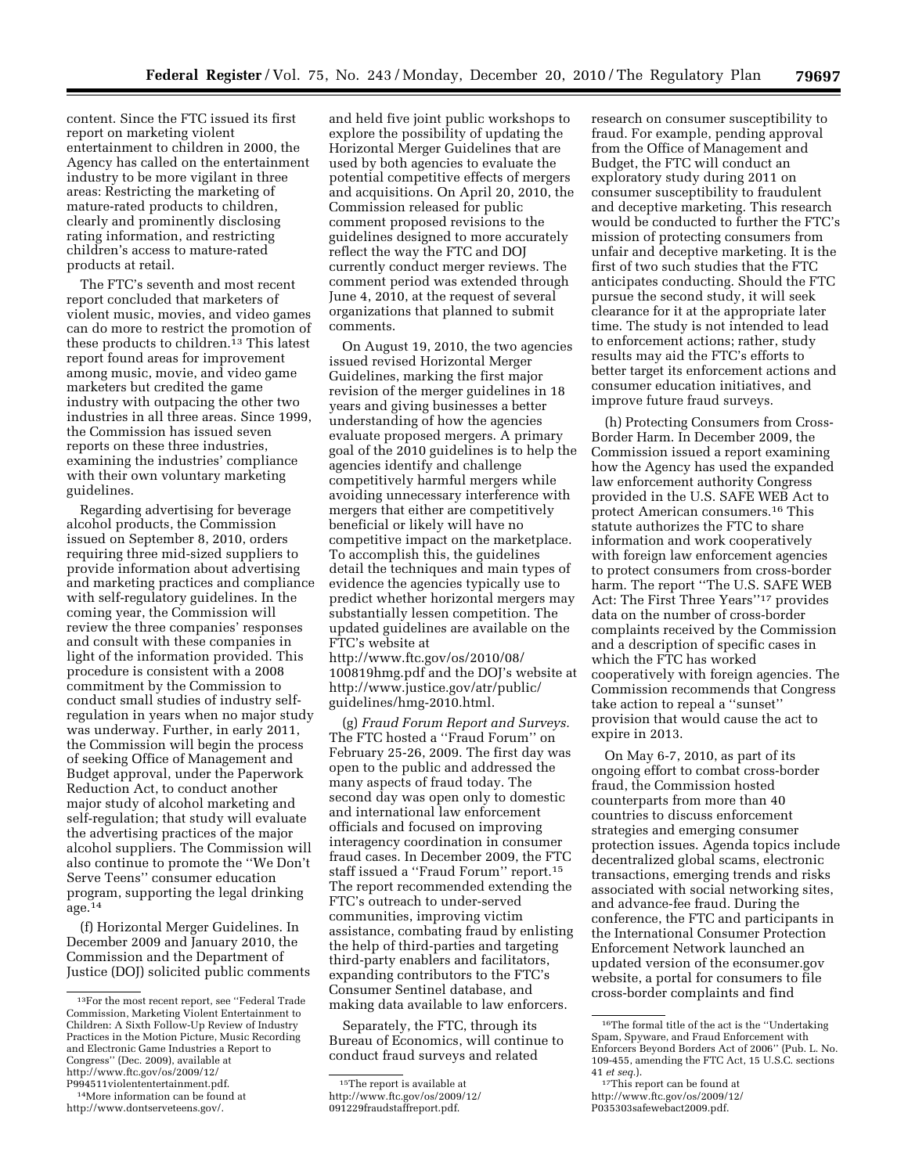content. Since the FTC issued its first report on marketing violent entertainment to children in 2000, the Agency has called on the entertainment industry to be more vigilant in three areas: Restricting the marketing of mature-rated products to children, clearly and prominently disclosing rating information, and restricting children's access to mature-rated products at retail.

The FTC's seventh and most recent report concluded that marketers of violent music, movies, and video games can do more to restrict the promotion of these products to children.13 This latest report found areas for improvement among music, movie, and video game marketers but credited the game industry with outpacing the other two industries in all three areas. Since 1999, the Commission has issued seven reports on these three industries, examining the industries' compliance with their own voluntary marketing guidelines.

Regarding advertising for beverage alcohol products, the Commission issued on September 8, 2010, orders requiring three mid-sized suppliers to provide information about advertising and marketing practices and compliance with self-regulatory guidelines. In the coming year, the Commission will review the three companies' responses and consult with these companies in light of the information provided. This procedure is consistent with a 2008 commitment by the Commission to conduct small studies of industry selfregulation in years when no major study was underway. Further, in early 2011, the Commission will begin the process of seeking Office of Management and Budget approval, under the Paperwork Reduction Act, to conduct another major study of alcohol marketing and self-regulation; that study will evaluate the advertising practices of the major alcohol suppliers. The Commission will also continue to promote the ''We Don't Serve Teens'' consumer education program, supporting the legal drinking age.14

(f) Horizontal Merger Guidelines. In December 2009 and January 2010, the Commission and the Department of Justice (DOJ) solicited public comments

and held five joint public workshops to explore the possibility of updating the Horizontal Merger Guidelines that are used by both agencies to evaluate the potential competitive effects of mergers and acquisitions. On April 20, 2010, the Commission released for public comment proposed revisions to the guidelines designed to more accurately reflect the way the FTC and DOJ currently conduct merger reviews. The comment period was extended through June 4, 2010, at the request of several organizations that planned to submit comments.

On August 19, 2010, the two agencies issued revised Horizontal Merger Guidelines, marking the first major revision of the merger guidelines in 18 years and giving businesses a better understanding of how the agencies evaluate proposed mergers. A primary goal of the 2010 guidelines is to help the agencies identify and challenge competitively harmful mergers while avoiding unnecessary interference with mergers that either are competitively beneficial or likely will have no competitive impact on the marketplace. To accomplish this, the guidelines detail the techniques and main types of evidence the agencies typically use to predict whether horizontal mergers may substantially lessen competition. The updated guidelines are available on the FTC's website at

http://www.ftc.gov/os/2010/08/ 100819hmg.pdf and the DOJ's website at http://www.justice.gov/atr/public/ guidelines/hmg-2010.html.

(g) *Fraud Forum Report and Surveys.*  The FTC hosted a ''Fraud Forum'' on February 25-26, 2009. The first day was open to the public and addressed the many aspects of fraud today. The second day was open only to domestic and international law enforcement officials and focused on improving interagency coordination in consumer fraud cases. In December 2009, the FTC staff issued a ''Fraud Forum'' report.15 The report recommended extending the FTC's outreach to under-served communities, improving victim assistance, combating fraud by enlisting the help of third-parties and targeting third-party enablers and facilitators, expanding contributors to the FTC's Consumer Sentinel database, and making data available to law enforcers.

Separately, the FTC, through its Bureau of Economics, will continue to conduct fraud surveys and related

http://www.ftc.gov/os/2009/12/ 091229fraudstaffreport.pdf.

research on consumer susceptibility to fraud. For example, pending approval from the Office of Management and Budget, the FTC will conduct an exploratory study during 2011 on consumer susceptibility to fraudulent and deceptive marketing. This research would be conducted to further the FTC's mission of protecting consumers from unfair and deceptive marketing. It is the first of two such studies that the FTC anticipates conducting. Should the FTC pursue the second study, it will seek clearance for it at the appropriate later time. The study is not intended to lead to enforcement actions; rather, study results may aid the FTC's efforts to better target its enforcement actions and consumer education initiatives, and improve future fraud surveys.

(h) Protecting Consumers from Cross-Border Harm. In December 2009, the Commission issued a report examining how the Agency has used the expanded law enforcement authority Congress provided in the U.S. SAFE WEB Act to protect American consumers.16 This statute authorizes the FTC to share information and work cooperatively with foreign law enforcement agencies to protect consumers from cross-border harm. The report ''The U.S. SAFE WEB Act: The First Three Years''17 provides data on the number of cross-border complaints received by the Commission and a description of specific cases in which the FTC has worked cooperatively with foreign agencies. The Commission recommends that Congress take action to repeal a ''sunset'' provision that would cause the act to expire in 2013.

On May 6-7, 2010, as part of its ongoing effort to combat cross-border fraud, the Commission hosted counterparts from more than 40 countries to discuss enforcement strategies and emerging consumer protection issues. Agenda topics include decentralized global scams, electronic transactions, emerging trends and risks associated with social networking sites, and advance-fee fraud. During the conference, the FTC and participants in the International Consumer Protection Enforcement Network launched an updated version of the econsumer.gov website, a portal for consumers to file cross-border complaints and find

<sup>13</sup>For the most recent report, see ''Federal Trade Commission, Marketing Violent Entertainment to Children: A Sixth Follow-Up Review of Industry Practices in the Motion Picture, Music Recording and Electronic Game Industries a Report to Congress'' (Dec. 2009), available at http://www.ftc.gov/os/2009/12/

<sup>&</sup>lt;sup>14</sup>More information can be found at http://www.dontserveteens.gov/.

<sup>15</sup>The report is available at

<sup>16</sup>The formal title of the act is the ''Undertaking Spam, Spyware, and Fraud Enforcement with Enforcers Beyond Borders Act of 2006'' (Pub. L. No. 109-455, amending the FTC Act, 15 U.S.C. sections 41 et seq.).

<sup>&</sup>lt;sup>17</sup>This report can be found at http://www.ftc.gov/os/2009/12/ P035303safewebact2009.pdf.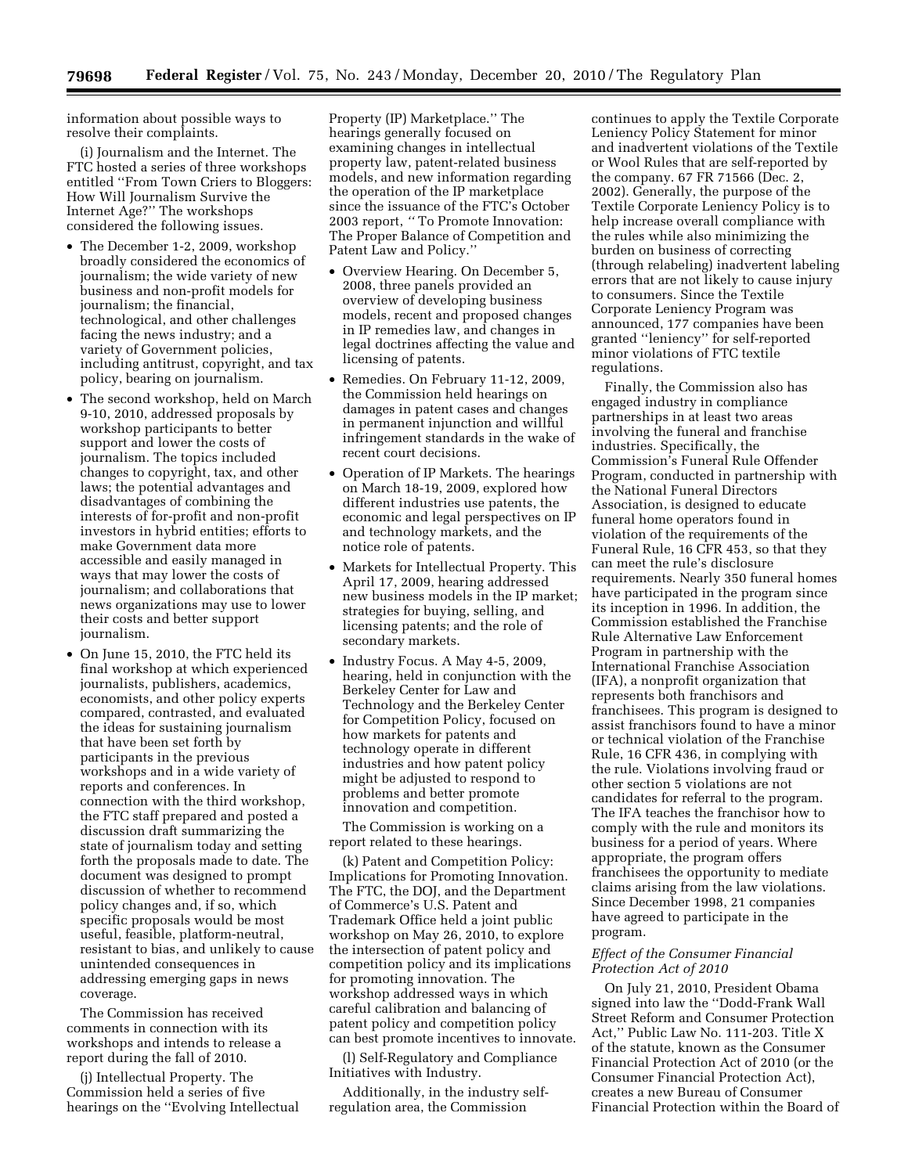information about possible ways to resolve their complaints.

(i) Journalism and the Internet. The FTC hosted a series of three workshops entitled ''From Town Criers to Bloggers: How Will Journalism Survive the Internet Age?'' The workshops considered the following issues.

- The December 1-2, 2009, workshop broadly considered the economics of journalism; the wide variety of new business and non-profit models for journalism; the financial, technological, and other challenges facing the news industry; and a variety of Government policies, including antitrust, copyright, and tax policy, bearing on journalism.
- The second workshop, held on March 9-10, 2010, addressed proposals by workshop participants to better support and lower the costs of journalism. The topics included changes to copyright, tax, and other laws; the potential advantages and disadvantages of combining the interests of for-profit and non-profit investors in hybrid entities; efforts to make Government data more accessible and easily managed in ways that may lower the costs of journalism; and collaborations that news organizations may use to lower their costs and better support journalism.
- On June 15, 2010, the FTC held its final workshop at which experienced journalists, publishers, academics, economists, and other policy experts compared, contrasted, and evaluated the ideas for sustaining journalism that have been set forth by participants in the previous workshops and in a wide variety of reports and conferences. In connection with the third workshop, the FTC staff prepared and posted a discussion draft summarizing the state of journalism today and setting forth the proposals made to date. The document was designed to prompt discussion of whether to recommend policy changes and, if so, which specific proposals would be most useful, feasible, platform-neutral, resistant to bias, and unlikely to cause unintended consequences in addressing emerging gaps in news coverage.

The Commission has received comments in connection with its workshops and intends to release a report during the fall of 2010.

(j) Intellectual Property. The Commission held a series of five hearings on the ''Evolving Intellectual

Property (IP) Marketplace.'' The hearings generally focused on examining changes in intellectual property law, patent-related business models, and new information regarding the operation of the IP marketplace since the issuance of the FTC's October 2003 report, *''* To Promote Innovation: The Proper Balance of Competition and Patent Law and Policy.''

- Overview Hearing. On December 5, 2008, three panels provided an overview of developing business models, recent and proposed changes in IP remedies law, and changes in legal doctrines affecting the value and licensing of patents.
- Remedies. On February 11-12, 2009, the Commission held hearings on damages in patent cases and changes in permanent injunction and willful infringement standards in the wake of recent court decisions.
- Operation of IP Markets. The hearings on March 18-19, 2009, explored how different industries use patents, the economic and legal perspectives on IP and technology markets, and the notice role of patents.
- Markets for Intellectual Property. This April 17, 2009, hearing addressed new business models in the IP market; strategies for buying, selling, and licensing patents; and the role of secondary markets.
- Industry Focus. A May 4-5, 2009, hearing, held in conjunction with the Berkeley Center for Law and Technology and the Berkeley Center for Competition Policy, focused on how markets for patents and technology operate in different industries and how patent policy might be adjusted to respond to problems and better promote innovation and competition.

The Commission is working on a report related to these hearings.

(k) Patent and Competition Policy: Implications for Promoting Innovation. The FTC, the DOJ, and the Department of Commerce's U.S. Patent and Trademark Office held a joint public workshop on May 26, 2010, to explore the intersection of patent policy and competition policy and its implications for promoting innovation. The workshop addressed ways in which careful calibration and balancing of patent policy and competition policy can best promote incentives to innovate.

(l) Self-Regulatory and Compliance Initiatives with Industry.

Additionally, in the industry selfregulation area, the Commission

continues to apply the Textile Corporate Leniency Policy Statement for minor and inadvertent violations of the Textile or Wool Rules that are self-reported by the company. 67 FR 71566 (Dec. 2, 2002). Generally, the purpose of the Textile Corporate Leniency Policy is to help increase overall compliance with the rules while also minimizing the burden on business of correcting (through relabeling) inadvertent labeling errors that are not likely to cause injury to consumers. Since the Textile Corporate Leniency Program was announced, 177 companies have been granted ''leniency'' for self-reported minor violations of FTC textile regulations.

Finally, the Commission also has engaged industry in compliance partnerships in at least two areas involving the funeral and franchise industries. Specifically, the Commission's Funeral Rule Offender Program, conducted in partnership with the National Funeral Directors Association, is designed to educate funeral home operators found in violation of the requirements of the Funeral Rule, 16 CFR 453, so that they can meet the rule's disclosure requirements. Nearly 350 funeral homes have participated in the program since its inception in 1996. In addition, the Commission established the Franchise Rule Alternative Law Enforcement Program in partnership with the International Franchise Association (IFA), a nonprofit organization that represents both franchisors and franchisees. This program is designed to assist franchisors found to have a minor or technical violation of the Franchise Rule, 16 CFR 436, in complying with the rule. Violations involving fraud or other section 5 violations are not candidates for referral to the program. The IFA teaches the franchisor how to comply with the rule and monitors its business for a period of years. Where appropriate, the program offers franchisees the opportunity to mediate claims arising from the law violations. Since December 1998, 21 companies have agreed to participate in the program.

# *Effect of the Consumer Financial Protection Act of 2010*

On July 21, 2010, President Obama signed into law the ''Dodd-Frank Wall Street Reform and Consumer Protection Act,'' Public Law No. 111-203. Title X of the statute, known as the Consumer Financial Protection Act of 2010 (or the Consumer Financial Protection Act), creates a new Bureau of Consumer Financial Protection within the Board of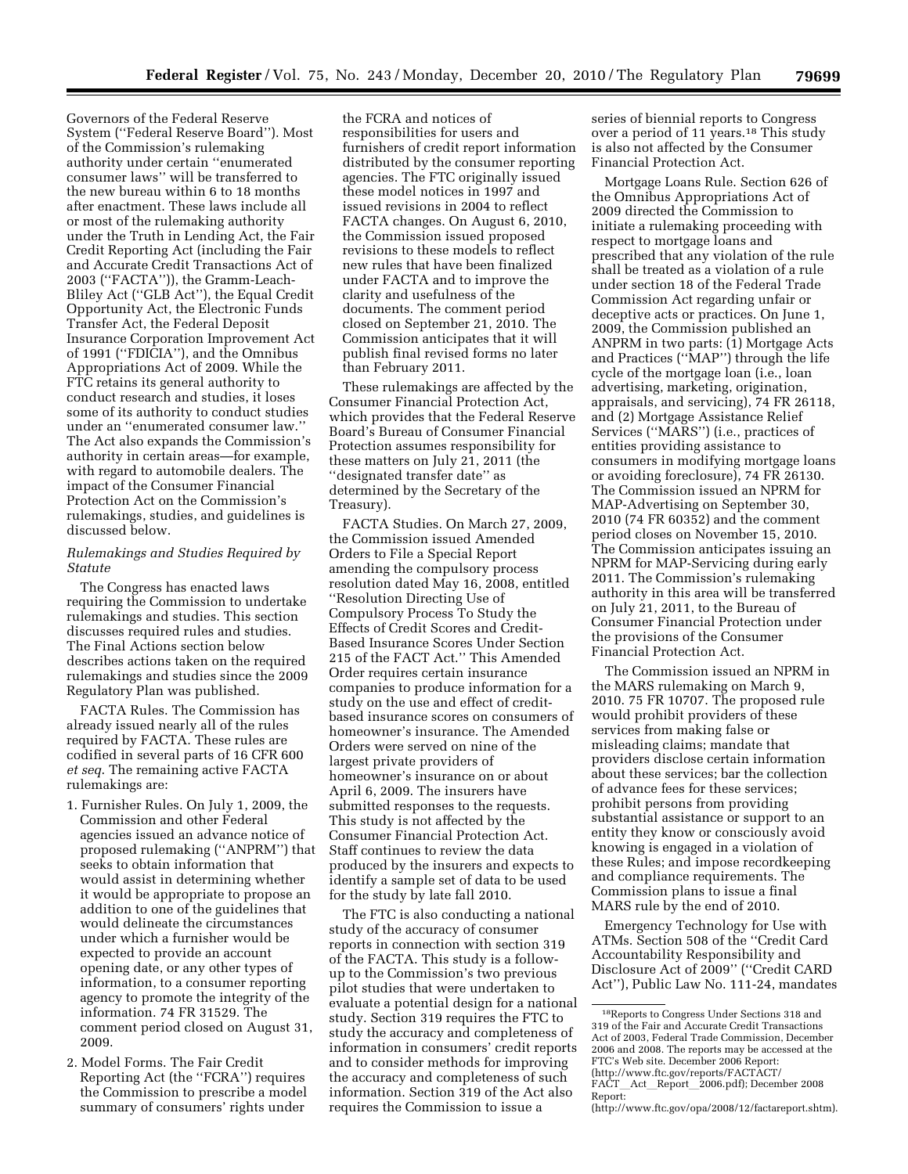Governors of the Federal Reserve System (''Federal Reserve Board''). Most of the Commission's rulemaking authority under certain ''enumerated consumer laws'' will be transferred to the new bureau within 6 to 18 months after enactment. These laws include all or most of the rulemaking authority under the Truth in Lending Act, the Fair Credit Reporting Act (including the Fair and Accurate Credit Transactions Act of 2003 (''FACTA'')), the Gramm-Leach-Bliley Act (''GLB Act''), the Equal Credit Opportunity Act, the Electronic Funds Transfer Act, the Federal Deposit Insurance Corporation Improvement Act of 1991 (''FDICIA''), and the Omnibus Appropriations Act of 2009. While the FTC retains its general authority to conduct research and studies, it loses some of its authority to conduct studies under an ''enumerated consumer law.'' The Act also expands the Commission's authority in certain areas—for example, with regard to automobile dealers. The impact of the Consumer Financial Protection Act on the Commission's rulemakings, studies, and guidelines is discussed below.

# *Rulemakings and Studies Required by Statute*

The Congress has enacted laws requiring the Commission to undertake rulemakings and studies. This section discusses required rules and studies. The Final Actions section below describes actions taken on the required rulemakings and studies since the 2009 Regulatory Plan was published.

FACTA Rules. The Commission has already issued nearly all of the rules required by FACTA. These rules are codified in several parts of 16 CFR 600 *et seq*. The remaining active FACTA rulemakings are:

- 1. Furnisher Rules. On July 1, 2009, the Commission and other Federal agencies issued an advance notice of proposed rulemaking (''ANPRM'') that seeks to obtain information that would assist in determining whether it would be appropriate to propose an addition to one of the guidelines that would delineate the circumstances under which a furnisher would be expected to provide an account opening date, or any other types of information, to a consumer reporting agency to promote the integrity of the information. 74 FR 31529. The comment period closed on August 31, 2009.
- 2. Model Forms. The Fair Credit Reporting Act (the ''FCRA'') requires the Commission to prescribe a model summary of consumers' rights under

the FCRA and notices of responsibilities for users and furnishers of credit report information distributed by the consumer reporting agencies. The FTC originally issued these model notices in 1997 and issued revisions in 2004 to reflect FACTA changes. On August 6, 2010, the Commission issued proposed revisions to these models to reflect new rules that have been finalized under FACTA and to improve the clarity and usefulness of the documents. The comment period closed on September 21, 2010. The Commission anticipates that it will publish final revised forms no later than February 2011.

These rulemakings are affected by the Consumer Financial Protection Act, which provides that the Federal Reserve Board's Bureau of Consumer Financial Protection assumes responsibility for these matters on July 21, 2011 (the ''designated transfer date'' as determined by the Secretary of the Treasury).

FACTA Studies. On March 27, 2009, the Commission issued Amended Orders to File a Special Report amending the compulsory process resolution dated May 16, 2008, entitled ''Resolution Directing Use of Compulsory Process To Study the Effects of Credit Scores and Credit-Based Insurance Scores Under Section 215 of the FACT Act.'' This Amended Order requires certain insurance companies to produce information for a study on the use and effect of creditbased insurance scores on consumers of homeowner's insurance. The Amended Orders were served on nine of the largest private providers of homeowner's insurance on or about April 6, 2009. The insurers have submitted responses to the requests. This study is not affected by the Consumer Financial Protection Act. Staff continues to review the data produced by the insurers and expects to identify a sample set of data to be used for the study by late fall 2010.

The FTC is also conducting a national study of the accuracy of consumer reports in connection with section 319 of the FACTA. This study is a followup to the Commission's two previous pilot studies that were undertaken to evaluate a potential design for a national study. Section 319 requires the FTC to study the accuracy and completeness of information in consumers' credit reports and to consider methods for improving the accuracy and completeness of such information. Section 319 of the Act also requires the Commission to issue a

series of biennial reports to Congress over a period of 11 years.<sup>18</sup> This study is also not affected by the Consumer Financial Protection Act.

Mortgage Loans Rule. Section 626 of the Omnibus Appropriations Act of 2009 directed the Commission to initiate a rulemaking proceeding with respect to mortgage loans and prescribed that any violation of the rule shall be treated as a violation of a rule under section 18 of the Federal Trade Commission Act regarding unfair or deceptive acts or practices. On June 1, 2009, the Commission published an ANPRM in two parts: (1) Mortgage Acts and Practices (''MAP'') through the life cycle of the mortgage loan (i.e., loan advertising, marketing, origination, appraisals, and servicing), 74 FR 26118, and (2) Mortgage Assistance Relief Services (''MARS'') (i.e., practices of entities providing assistance to consumers in modifying mortgage loans or avoiding foreclosure), 74 FR 26130. The Commission issued an NPRM for MAP-Advertising on September 30, 2010 (74 FR 60352) and the comment period closes on November 15, 2010. The Commission anticipates issuing an NPRM for MAP-Servicing during early 2011. The Commission's rulemaking authority in this area will be transferred on July 21, 2011, to the Bureau of Consumer Financial Protection under the provisions of the Consumer Financial Protection Act.

The Commission issued an NPRM in the MARS rulemaking on March 9, 2010. 75 FR 10707. The proposed rule would prohibit providers of these services from making false or misleading claims; mandate that providers disclose certain information about these services; bar the collection of advance fees for these services; prohibit persons from providing substantial assistance or support to an entity they know or consciously avoid knowing is engaged in a violation of these Rules; and impose recordkeeping and compliance requirements. The Commission plans to issue a final MARS rule by the end of 2010.

Emergency Technology for Use with ATMs. Section 508 of the ''Credit Card Accountability Responsibility and Disclosure Act of 2009'' (''Credit CARD Act''), Public Law No. 111-24, mandates

<sup>18</sup>Reports to Congress Under Sections 318 and 319 of the Fair and Accurate Credit Transactions Act of 2003, Federal Trade Commission, December 2006 and 2008. The reports may be accessed at the FTC's Web site. December 2006 Report: (http://www.ftc.gov/reports/FACTACT/ FACT\_Act\_Report\_2006.pdf); December 2008 Report: (http://www.ftc.gov/opa/2008/12/factareport.shtm).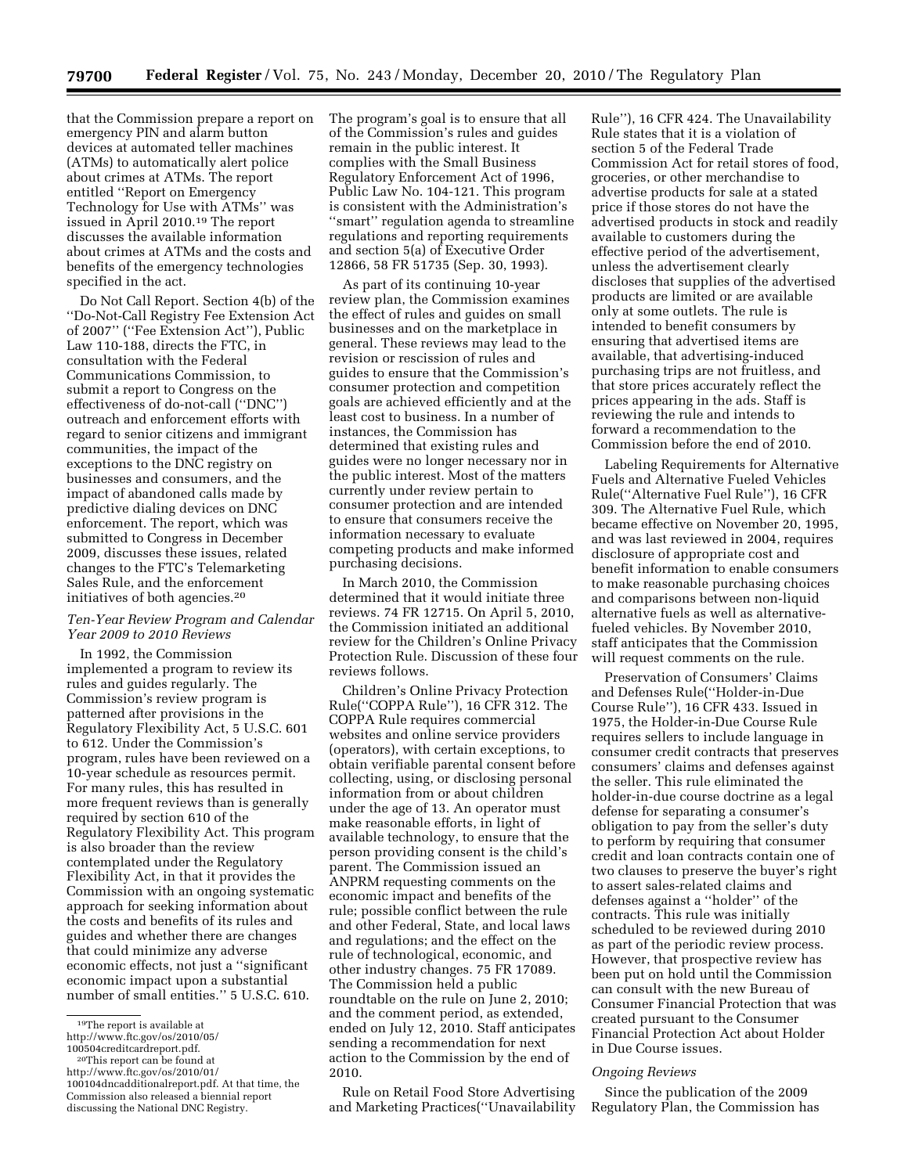that the Commission prepare a report on emergency PIN and alarm button devices at automated teller machines (ATMs) to automatically alert police about crimes at ATMs. The report entitled ''Report on Emergency Technology for Use with ATMs'' was issued in April 2010.19 The report discusses the available information about crimes at ATMs and the costs and benefits of the emergency technologies specified in the act.

Do Not Call Report. Section 4(b) of the ''Do-Not-Call Registry Fee Extension Act of 2007'' (''Fee Extension Act''), Public Law 110-188, directs the FTC, in consultation with the Federal Communications Commission, to submit a report to Congress on the effectiveness of do-not-call (''DNC'') outreach and enforcement efforts with regard to senior citizens and immigrant communities, the impact of the exceptions to the DNC registry on businesses and consumers, and the impact of abandoned calls made by predictive dialing devices on DNC enforcement. The report, which was submitted to Congress in December 2009, discusses these issues, related changes to the FTC's Telemarketing Sales Rule, and the enforcement initiatives of both agencies.20

# *Ten-Year Review Program and Calendar Year 2009 to 2010 Reviews*

In 1992, the Commission implemented a program to review its rules and guides regularly. The Commission's review program is patterned after provisions in the Regulatory Flexibility Act, 5 U.S.C. 601 to 612. Under the Commission's program, rules have been reviewed on a 10-year schedule as resources permit. For many rules, this has resulted in more frequent reviews than is generally required by section 610 of the Regulatory Flexibility Act. This program is also broader than the review contemplated under the Regulatory Flexibility Act, in that it provides the Commission with an ongoing systematic approach for seeking information about the costs and benefits of its rules and guides and whether there are changes that could minimize any adverse economic effects, not just a ''significant economic impact upon a substantial number of small entities.'' 5 U.S.C. 610.

The program's goal is to ensure that all of the Commission's rules and guides remain in the public interest. It complies with the Small Business Regulatory Enforcement Act of 1996, Public Law No. 104-121. This program is consistent with the Administration's ''smart'' regulation agenda to streamline regulations and reporting requirements and section 5(a) of Executive Order 12866, 58 FR 51735 (Sep. 30, 1993).

As part of its continuing 10-year review plan, the Commission examines the effect of rules and guides on small businesses and on the marketplace in general. These reviews may lead to the revision or rescission of rules and guides to ensure that the Commission's consumer protection and competition goals are achieved efficiently and at the least cost to business. In a number of instances, the Commission has determined that existing rules and guides were no longer necessary nor in the public interest. Most of the matters currently under review pertain to consumer protection and are intended to ensure that consumers receive the information necessary to evaluate competing products and make informed purchasing decisions.

In March 2010, the Commission determined that it would initiate three reviews. 74 FR 12715. On April 5, 2010, the Commission initiated an additional review for the Children's Online Privacy Protection Rule. Discussion of these four reviews follows.

Children's Online Privacy Protection Rule(''COPPA Rule''), 16 CFR 312. The COPPA Rule requires commercial websites and online service providers (operators), with certain exceptions, to obtain verifiable parental consent before collecting, using, or disclosing personal information from or about children under the age of 13. An operator must make reasonable efforts, in light of available technology, to ensure that the person providing consent is the child's parent. The Commission issued an ANPRM requesting comments on the economic impact and benefits of the rule; possible conflict between the rule and other Federal, State, and local laws and regulations; and the effect on the rule of technological, economic, and other industry changes. 75 FR 17089. The Commission held a public roundtable on the rule on June 2, 2010; and the comment period, as extended, ended on July 12, 2010. Staff anticipates sending a recommendation for next action to the Commission by the end of 2010.

Rule on Retail Food Store Advertising and Marketing Practices(''Unavailability

Rule''), 16 CFR 424. The Unavailability Rule states that it is a violation of section 5 of the Federal Trade Commission Act for retail stores of food, groceries, or other merchandise to advertise products for sale at a stated price if those stores do not have the advertised products in stock and readily available to customers during the effective period of the advertisement, unless the advertisement clearly discloses that supplies of the advertised products are limited or are available only at some outlets. The rule is intended to benefit consumers by ensuring that advertised items are available, that advertising-induced purchasing trips are not fruitless, and that store prices accurately reflect the prices appearing in the ads. Staff is reviewing the rule and intends to forward a recommendation to the Commission before the end of 2010.

Labeling Requirements for Alternative Fuels and Alternative Fueled Vehicles Rule(''Alternative Fuel Rule''), 16 CFR 309. The Alternative Fuel Rule, which became effective on November 20, 1995, and was last reviewed in 2004, requires disclosure of appropriate cost and benefit information to enable consumers to make reasonable purchasing choices and comparisons between non-liquid alternative fuels as well as alternativefueled vehicles. By November 2010, staff anticipates that the Commission will request comments on the rule.

Preservation of Consumers' Claims and Defenses Rule(''Holder-in-Due Course Rule''), 16 CFR 433. Issued in 1975, the Holder-in-Due Course Rule requires sellers to include language in consumer credit contracts that preserves consumers' claims and defenses against the seller. This rule eliminated the holder-in-due course doctrine as a legal defense for separating a consumer's obligation to pay from the seller's duty to perform by requiring that consumer credit and loan contracts contain one of two clauses to preserve the buyer's right to assert sales-related claims and defenses against a ''holder'' of the contracts. This rule was initially scheduled to be reviewed during 2010 as part of the periodic review process. However, that prospective review has been put on hold until the Commission can consult with the new Bureau of Consumer Financial Protection that was created pursuant to the Consumer Financial Protection Act about Holder in Due Course issues.

## *Ongoing Reviews*

Since the publication of the 2009 Regulatory Plan, the Commission has

<sup>19</sup>The report is available at http://www.ftc.gov/os/2010/05/

<sup>&</sup>lt;sup>20</sup>This report can be found at

http://www.ftc.gov/os/2010/01/ 100104dncadditionalreport.pdf. At that time, the Commission also released a biennial report discussing the National DNC Registry.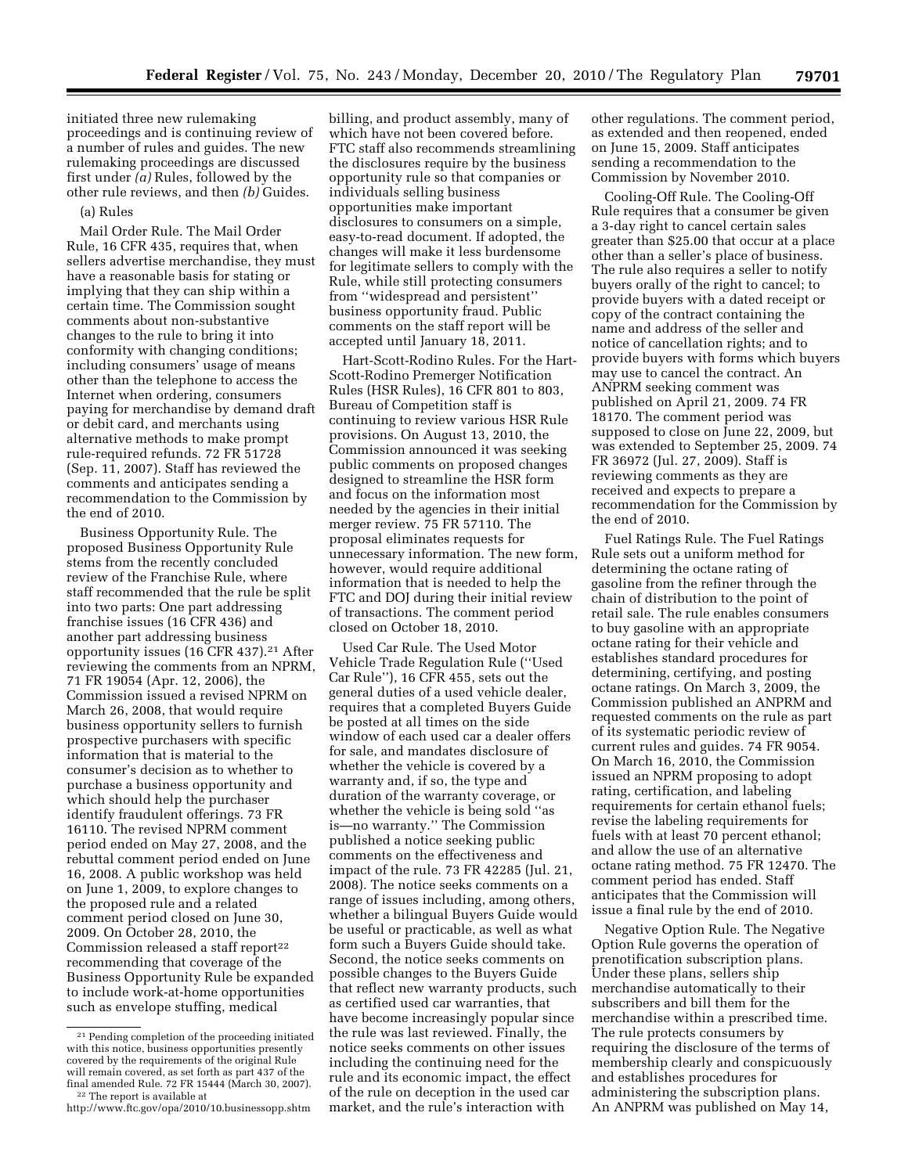initiated three new rulemaking proceedings and is continuing review of a number of rules and guides. The new rulemaking proceedings are discussed first under *(a)* Rules, followed by the other rule reviews, and then *(b)* Guides.

## (a) Rules

Mail Order Rule. The Mail Order Rule, 16 CFR 435, requires that, when sellers advertise merchandise, they must have a reasonable basis for stating or implying that they can ship within a certain time. The Commission sought comments about non-substantive changes to the rule to bring it into conformity with changing conditions; including consumers' usage of means other than the telephone to access the Internet when ordering, consumers paying for merchandise by demand draft or debit card, and merchants using alternative methods to make prompt rule-required refunds. 72 FR 51728 (Sep. 11, 2007). Staff has reviewed the comments and anticipates sending a recommendation to the Commission by the end of 2010.

Business Opportunity Rule. The proposed Business Opportunity Rule stems from the recently concluded review of the Franchise Rule, where staff recommended that the rule be split into two parts: One part addressing franchise issues (16 CFR 436) and another part addressing business opportunity issues (16 CFR 437).<sup>21</sup> After reviewing the comments from an NPRM, 71 FR 19054 (Apr. 12, 2006), the Commission issued a revised NPRM on March 26, 2008, that would require business opportunity sellers to furnish prospective purchasers with specific information that is material to the consumer's decision as to whether to purchase a business opportunity and which should help the purchaser identify fraudulent offerings. 73 FR 16110. The revised NPRM comment period ended on May 27, 2008, and the rebuttal comment period ended on June 16, 2008. A public workshop was held on June 1, 2009, to explore changes to the proposed rule and a related comment period closed on June 30, 2009. On October 28, 2010, the Commission released a staff report<sup>22</sup> recommending that coverage of the Business Opportunity Rule be expanded to include work-at-home opportunities such as envelope stuffing, medical

billing, and product assembly, many of which have not been covered before. FTC staff also recommends streamlining the disclosures require by the business opportunity rule so that companies or individuals selling business opportunities make important disclosures to consumers on a simple, easy-to-read document. If adopted, the changes will make it less burdensome for legitimate sellers to comply with the Rule, while still protecting consumers from ''widespread and persistent'' business opportunity fraud. Public comments on the staff report will be accepted until January 18, 2011.

Hart-Scott-Rodino Rules. For the Hart-Scott-Rodino Premerger Notification Rules (HSR Rules), 16 CFR 801 to 803, Bureau of Competition staff is continuing to review various HSR Rule provisions. On August 13, 2010, the Commission announced it was seeking public comments on proposed changes designed to streamline the HSR form and focus on the information most needed by the agencies in their initial merger review. 75 FR 57110. The proposal eliminates requests for unnecessary information. The new form, however, would require additional information that is needed to help the FTC and DOJ during their initial review of transactions. The comment period closed on October 18, 2010.

Used Car Rule. The Used Motor Vehicle Trade Regulation Rule (''Used Car Rule''), 16 CFR 455, sets out the general duties of a used vehicle dealer, requires that a completed Buyers Guide be posted at all times on the side window of each used car a dealer offers for sale, and mandates disclosure of whether the vehicle is covered by a warranty and, if so, the type and duration of the warranty coverage, or whether the vehicle is being sold ''as is—no warranty.'' The Commission published a notice seeking public comments on the effectiveness and impact of the rule. 73 FR 42285 (Jul. 21, 2008). The notice seeks comments on a range of issues including, among others, whether a bilingual Buyers Guide would be useful or practicable, as well as what form such a Buyers Guide should take. Second, the notice seeks comments on possible changes to the Buyers Guide that reflect new warranty products, such as certified used car warranties, that have become increasingly popular since the rule was last reviewed. Finally, the notice seeks comments on other issues including the continuing need for the rule and its economic impact, the effect of the rule on deception in the used car market, and the rule's interaction with

other regulations. The comment period, as extended and then reopened, ended on June 15, 2009. Staff anticipates sending a recommendation to the Commission by November 2010.

Cooling-Off Rule. The Cooling-Off Rule requires that a consumer be given a 3-day right to cancel certain sales greater than \$25.00 that occur at a place other than a seller's place of business. The rule also requires a seller to notify buyers orally of the right to cancel; to provide buyers with a dated receipt or copy of the contract containing the name and address of the seller and notice of cancellation rights; and to provide buyers with forms which buyers may use to cancel the contract. An ANPRM seeking comment was published on April 21, 2009. 74 FR 18170. The comment period was supposed to close on June 22, 2009, but was extended to September 25, 2009. 74 FR 36972 (Jul. 27, 2009). Staff is reviewing comments as they are received and expects to prepare a recommendation for the Commission by the end of 2010.

Fuel Ratings Rule. The Fuel Ratings Rule sets out a uniform method for determining the octane rating of gasoline from the refiner through the chain of distribution to the point of retail sale. The rule enables consumers to buy gasoline with an appropriate octane rating for their vehicle and establishes standard procedures for determining, certifying, and posting octane ratings. On March 3, 2009, the Commission published an ANPRM and requested comments on the rule as part of its systematic periodic review of current rules and guides. 74 FR 9054. On March 16, 2010, the Commission issued an NPRM proposing to adopt rating, certification, and labeling requirements for certain ethanol fuels; revise the labeling requirements for fuels with at least 70 percent ethanol; and allow the use of an alternative octane rating method. 75 FR 12470. The comment period has ended. Staff anticipates that the Commission will issue a final rule by the end of 2010.

Negative Option Rule. The Negative Option Rule governs the operation of prenotification subscription plans. Under these plans, sellers ship merchandise automatically to their subscribers and bill them for the merchandise within a prescribed time. The rule protects consumers by requiring the disclosure of the terms of membership clearly and conspicuously and establishes procedures for administering the subscription plans. An ANPRM was published on May 14,

<sup>21</sup> Pending completion of the proceeding initiated with this notice, business opportunities presently covered by the requirements of the original Rule will remain covered, as set forth as part 437 of the final amended Rule. 72 FR 15444 (March 30, 2007). 22 The report is available at

http://www.ftc.gov/opa/2010/10.businessopp.shtm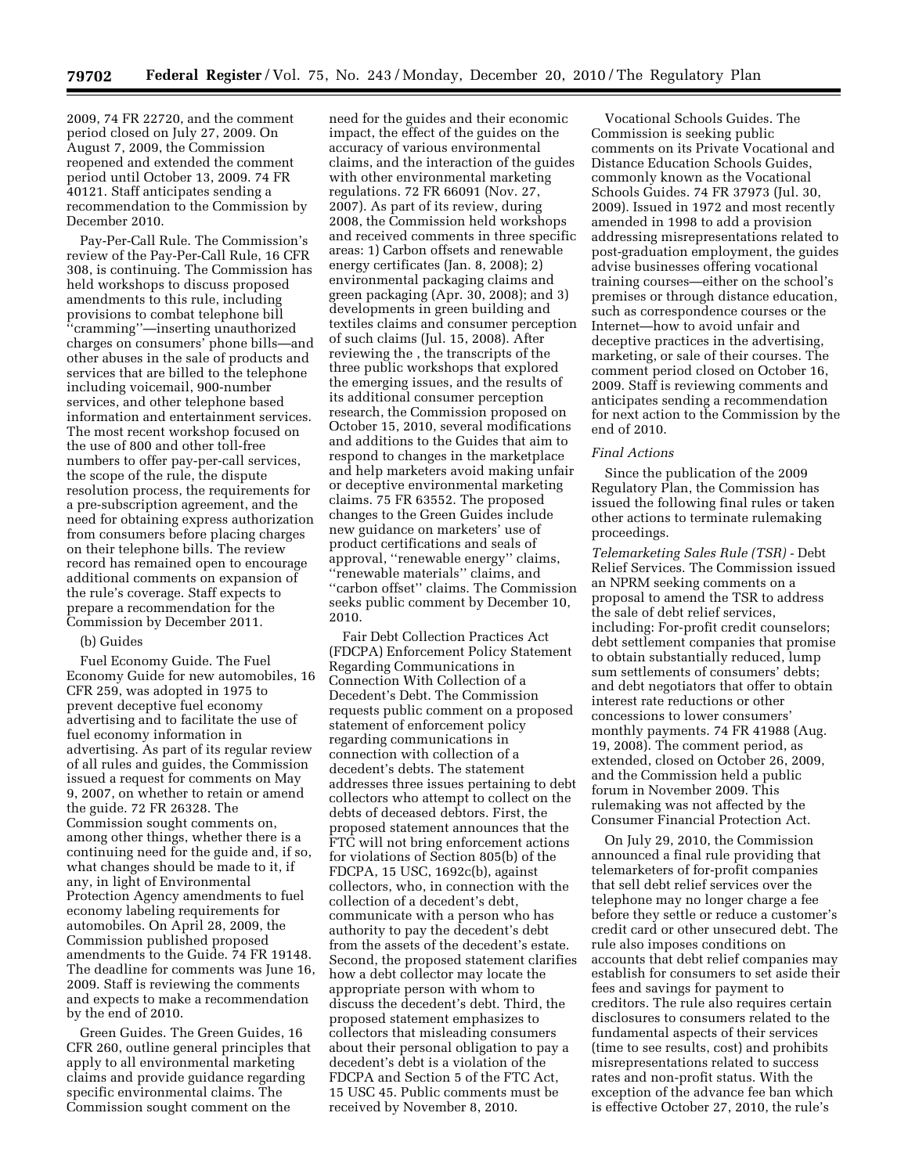2009, 74 FR 22720, and the comment period closed on July 27, 2009. On August 7, 2009, the Commission reopened and extended the comment period until October 13, 2009. 74 FR 40121. Staff anticipates sending a recommendation to the Commission by December 2010.

Pay-Per-Call Rule. The Commission's review of the Pay-Per-Call Rule, 16 CFR 308, is continuing. The Commission has held workshops to discuss proposed amendments to this rule, including provisions to combat telephone bill ''cramming''—inserting unauthorized charges on consumers' phone bills—and other abuses in the sale of products and services that are billed to the telephone including voicemail, 900-number services, and other telephone based information and entertainment services. The most recent workshop focused on the use of 800 and other toll-free numbers to offer pay-per-call services, the scope of the rule, the dispute resolution process, the requirements for a pre-subscription agreement, and the need for obtaining express authorization from consumers before placing charges on their telephone bills. The review record has remained open to encourage additional comments on expansion of the rule's coverage. Staff expects to prepare a recommendation for the Commission by December 2011.

## (b) Guides

Fuel Economy Guide. The Fuel Economy Guide for new automobiles, 16 CFR 259, was adopted in 1975 to prevent deceptive fuel economy advertising and to facilitate the use of fuel economy information in advertising. As part of its regular review of all rules and guides, the Commission issued a request for comments on May 9, 2007, on whether to retain or amend the guide. 72 FR 26328. The Commission sought comments on, among other things, whether there is a continuing need for the guide and, if so, what changes should be made to it, if any, in light of Environmental Protection Agency amendments to fuel economy labeling requirements for automobiles. On April 28, 2009, the Commission published proposed amendments to the Guide. 74 FR 19148. The deadline for comments was June 16, 2009. Staff is reviewing the comments and expects to make a recommendation by the end of 2010.

Green Guides. The Green Guides, 16 CFR 260, outline general principles that apply to all environmental marketing claims and provide guidance regarding specific environmental claims. The Commission sought comment on the

need for the guides and their economic impact, the effect of the guides on the accuracy of various environmental claims, and the interaction of the guides with other environmental marketing regulations. 72 FR 66091 (Nov. 27, 2007). As part of its review, during 2008, the Commission held workshops and received comments in three specific areas: 1) Carbon offsets and renewable energy certificates (Jan. 8, 2008); 2) environmental packaging claims and green packaging (Apr. 30, 2008); and 3) developments in green building and textiles claims and consumer perception of such claims (Jul. 15, 2008). After reviewing the , the transcripts of the three public workshops that explored the emerging issues, and the results of its additional consumer perception research, the Commission proposed on October 15, 2010, several modifications and additions to the Guides that aim to respond to changes in the marketplace and help marketers avoid making unfair or deceptive environmental marketing claims. 75 FR 63552. The proposed changes to the Green Guides include new guidance on marketers' use of product certifications and seals of approval, ''renewable energy'' claims, ''renewable materials'' claims, and ''carbon offset'' claims. The Commission seeks public comment by December 10, 2010.

Fair Debt Collection Practices Act (FDCPA) Enforcement Policy Statement Regarding Communications in Connection With Collection of a Decedent's Debt. The Commission requests public comment on a proposed statement of enforcement policy regarding communications in connection with collection of a decedent's debts. The statement addresses three issues pertaining to debt collectors who attempt to collect on the debts of deceased debtors. First, the proposed statement announces that the FTC will not bring enforcement actions for violations of Section 805(b) of the FDCPA, 15 USC, 1692c(b), against collectors, who, in connection with the collection of a decedent's debt, communicate with a person who has authority to pay the decedent's debt from the assets of the decedent's estate. Second, the proposed statement clarifies how a debt collector may locate the appropriate person with whom to discuss the decedent's debt. Third, the proposed statement emphasizes to collectors that misleading consumers about their personal obligation to pay a decedent's debt is a violation of the FDCPA and Section 5 of the FTC Act, 15 USC 45. Public comments must be received by November 8, 2010.

Vocational Schools Guides. The Commission is seeking public comments on its Private Vocational and Distance Education Schools Guides, commonly known as the Vocational Schools Guides. 74 FR 37973 (Jul. 30, 2009). Issued in 1972 and most recently amended in 1998 to add a provision addressing misrepresentations related to post-graduation employment, the guides advise businesses offering vocational training courses—either on the school's premises or through distance education, such as correspondence courses or the Internet—how to avoid unfair and deceptive practices in the advertising, marketing, or sale of their courses. The comment period closed on October 16, 2009. Staff is reviewing comments and anticipates sending a recommendation for next action to the Commission by the end of 2010.

#### *Final Actions*

Since the publication of the 2009 Regulatory Plan, the Commission has issued the following final rules or taken other actions to terminate rulemaking proceedings.

*Telemarketing Sales Rule (TSR) -* Debt Relief Services. The Commission issued an NPRM seeking comments on a proposal to amend the TSR to address the sale of debt relief services, including: For-profit credit counselors; debt settlement companies that promise to obtain substantially reduced, lump sum settlements of consumers' debts; and debt negotiators that offer to obtain interest rate reductions or other concessions to lower consumers' monthly payments. 74 FR 41988 (Aug. 19, 2008). The comment period, as extended, closed on October 26, 2009, and the Commission held a public forum in November 2009. This rulemaking was not affected by the Consumer Financial Protection Act.

On July 29, 2010, the Commission announced a final rule providing that telemarketers of for-profit companies that sell debt relief services over the telephone may no longer charge a fee before they settle or reduce a customer's credit card or other unsecured debt. The rule also imposes conditions on accounts that debt relief companies may establish for consumers to set aside their fees and savings for payment to creditors. The rule also requires certain disclosures to consumers related to the fundamental aspects of their services (time to see results, cost) and prohibits misrepresentations related to success rates and non-profit status. With the exception of the advance fee ban which is effective October 27, 2010, the rule's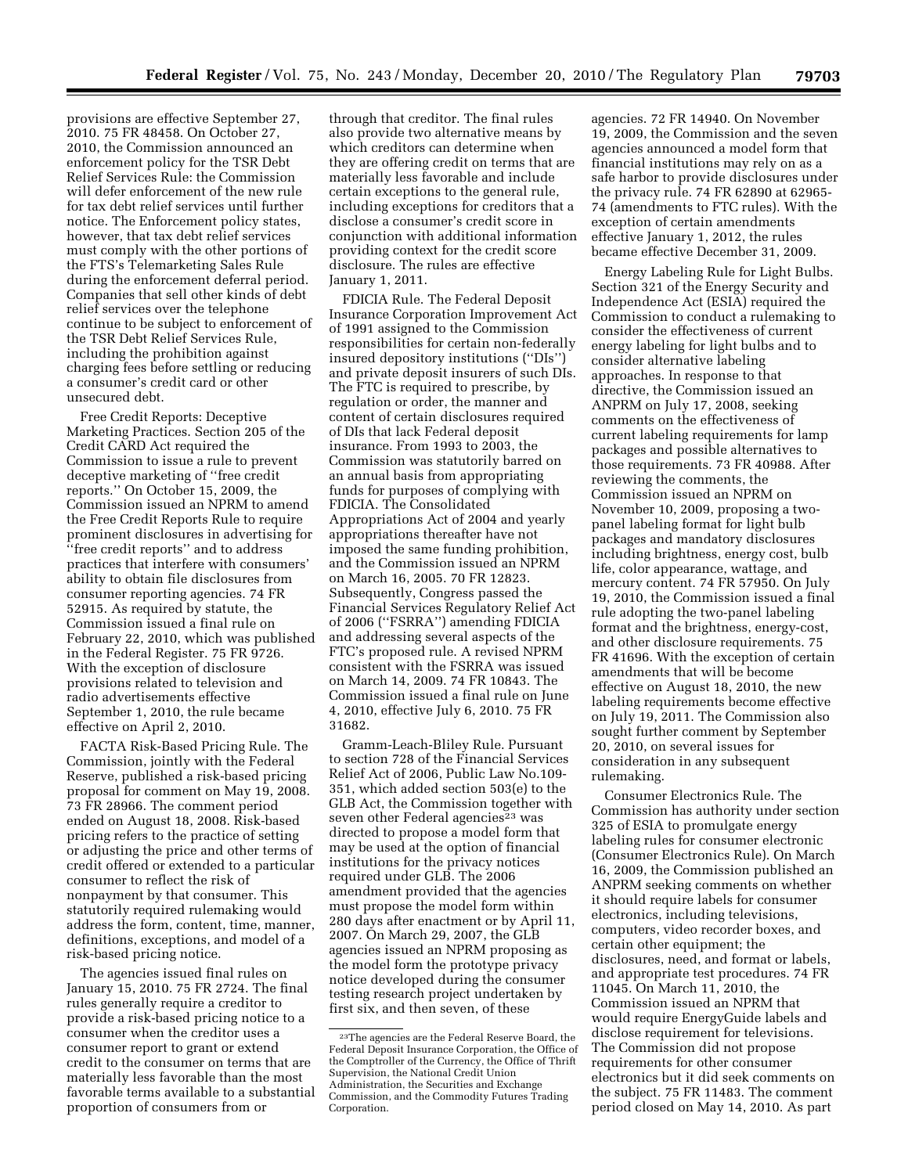provisions are effective September 27, 2010. 75 FR 48458. On October 27, 2010, the Commission announced an enforcement policy for the TSR Debt Relief Services Rule: the Commission will defer enforcement of the new rule for tax debt relief services until further notice. The Enforcement policy states, however, that tax debt relief services must comply with the other portions of the FTS's Telemarketing Sales Rule during the enforcement deferral period. Companies that sell other kinds of debt relief services over the telephone continue to be subject to enforcement of the TSR Debt Relief Services Rule, including the prohibition against charging fees before settling or reducing a consumer's credit card or other unsecured debt.

Free Credit Reports: Deceptive Marketing Practices. Section 205 of the Credit CARD Act required the Commission to issue a rule to prevent deceptive marketing of ''free credit reports.'' On October 15, 2009, the Commission issued an NPRM to amend the Free Credit Reports Rule to require prominent disclosures in advertising for ''free credit reports'' and to address practices that interfere with consumers' ability to obtain file disclosures from consumer reporting agencies. 74 FR 52915. As required by statute, the Commission issued a final rule on February 22, 2010, which was published in the Federal Register. 75 FR 9726. With the exception of disclosure provisions related to television and radio advertisements effective September 1, 2010, the rule became effective on April 2, 2010.

FACTA Risk-Based Pricing Rule. The Commission, jointly with the Federal Reserve, published a risk-based pricing proposal for comment on May 19, 2008. 73 FR 28966. The comment period ended on August 18, 2008. Risk-based pricing refers to the practice of setting or adjusting the price and other terms of credit offered or extended to a particular consumer to reflect the risk of nonpayment by that consumer. This statutorily required rulemaking would address the form, content, time, manner, definitions, exceptions, and model of a risk-based pricing notice.

The agencies issued final rules on January 15, 2010. 75 FR 2724. The final rules generally require a creditor to provide a risk-based pricing notice to a consumer when the creditor uses a consumer report to grant or extend credit to the consumer on terms that are materially less favorable than the most favorable terms available to a substantial proportion of consumers from or

through that creditor. The final rules also provide two alternative means by which creditors can determine when they are offering credit on terms that are materially less favorable and include certain exceptions to the general rule, including exceptions for creditors that a disclose a consumer's credit score in conjunction with additional information providing context for the credit score disclosure. The rules are effective January 1, 2011.

FDICIA Rule. The Federal Deposit Insurance Corporation Improvement Act of 1991 assigned to the Commission responsibilities for certain non-federally insured depository institutions (''DIs'') and private deposit insurers of such DIs. The FTC is required to prescribe, by regulation or order, the manner and content of certain disclosures required of DIs that lack Federal deposit insurance. From 1993 to 2003, the Commission was statutorily barred on an annual basis from appropriating funds for purposes of complying with FDICIA. The Consolidated Appropriations Act of 2004 and yearly appropriations thereafter have not imposed the same funding prohibition, and the Commission issued an NPRM on March 16, 2005. 70 FR 12823. Subsequently, Congress passed the Financial Services Regulatory Relief Act of 2006 (''FSRRA'') amending FDICIA and addressing several aspects of the FTC's proposed rule. A revised NPRM consistent with the FSRRA was issued on March 14, 2009. 74 FR 10843. The Commission issued a final rule on June 4, 2010, effective July 6, 2010. 75 FR 31682.

Gramm-Leach-Bliley Rule. Pursuant to section 728 of the Financial Services Relief Act of 2006, Public Law No.109- 351, which added section 503(e) to the GLB Act, the Commission together with seven other Federal agencies<sup>23</sup> was directed to propose a model form that may be used at the option of financial institutions for the privacy notices required under GLB. The 2006 amendment provided that the agencies must propose the model form within 280 days after enactment or by April 11, 2007. On March 29, 2007, the GLB agencies issued an NPRM proposing as the model form the prototype privacy notice developed during the consumer testing research project undertaken by first six, and then seven, of these

agencies. 72 FR 14940. On November 19, 2009, the Commission and the seven agencies announced a model form that financial institutions may rely on as a safe harbor to provide disclosures under the privacy rule. 74 FR 62890 at 62965- 74 (amendments to FTC rules). With the exception of certain amendments effective January 1, 2012, the rules became effective December 31, 2009.

Energy Labeling Rule for Light Bulbs. Section 321 of the Energy Security and Independence Act (ESIA) required the Commission to conduct a rulemaking to consider the effectiveness of current energy labeling for light bulbs and to consider alternative labeling approaches. In response to that directive, the Commission issued an ANPRM on July 17, 2008, seeking comments on the effectiveness of current labeling requirements for lamp packages and possible alternatives to those requirements. 73 FR 40988. After reviewing the comments, the Commission issued an NPRM on November 10, 2009, proposing a twopanel labeling format for light bulb packages and mandatory disclosures including brightness, energy cost, bulb life, color appearance, wattage, and mercury content. 74 FR 57950. On July 19, 2010, the Commission issued a final rule adopting the two-panel labeling format and the brightness, energy-cost, and other disclosure requirements. 75 FR 41696. With the exception of certain amendments that will be become effective on August 18, 2010, the new labeling requirements become effective on July 19, 2011. The Commission also sought further comment by September 20, 2010, on several issues for consideration in any subsequent rulemaking.

Consumer Electronics Rule. The Commission has authority under section 325 of ESIA to promulgate energy labeling rules for consumer electronic (Consumer Electronics Rule). On March 16, 2009, the Commission published an ANPRM seeking comments on whether it should require labels for consumer electronics, including televisions, computers, video recorder boxes, and certain other equipment; the disclosures, need, and format or labels, and appropriate test procedures. 74 FR 11045. On March 11, 2010, the Commission issued an NPRM that would require EnergyGuide labels and disclose requirement for televisions. The Commission did not propose requirements for other consumer electronics but it did seek comments on the subject. 75 FR 11483. The comment period closed on May 14, 2010. As part

<sup>23</sup>The agencies are the Federal Reserve Board, the Federal Deposit Insurance Corporation, the Office of the Comptroller of the Currency, the Office of Thrift Supervision, the National Credit Union Administration, the Securities and Exchange Commission, and the Commodity Futures Trading Corporation.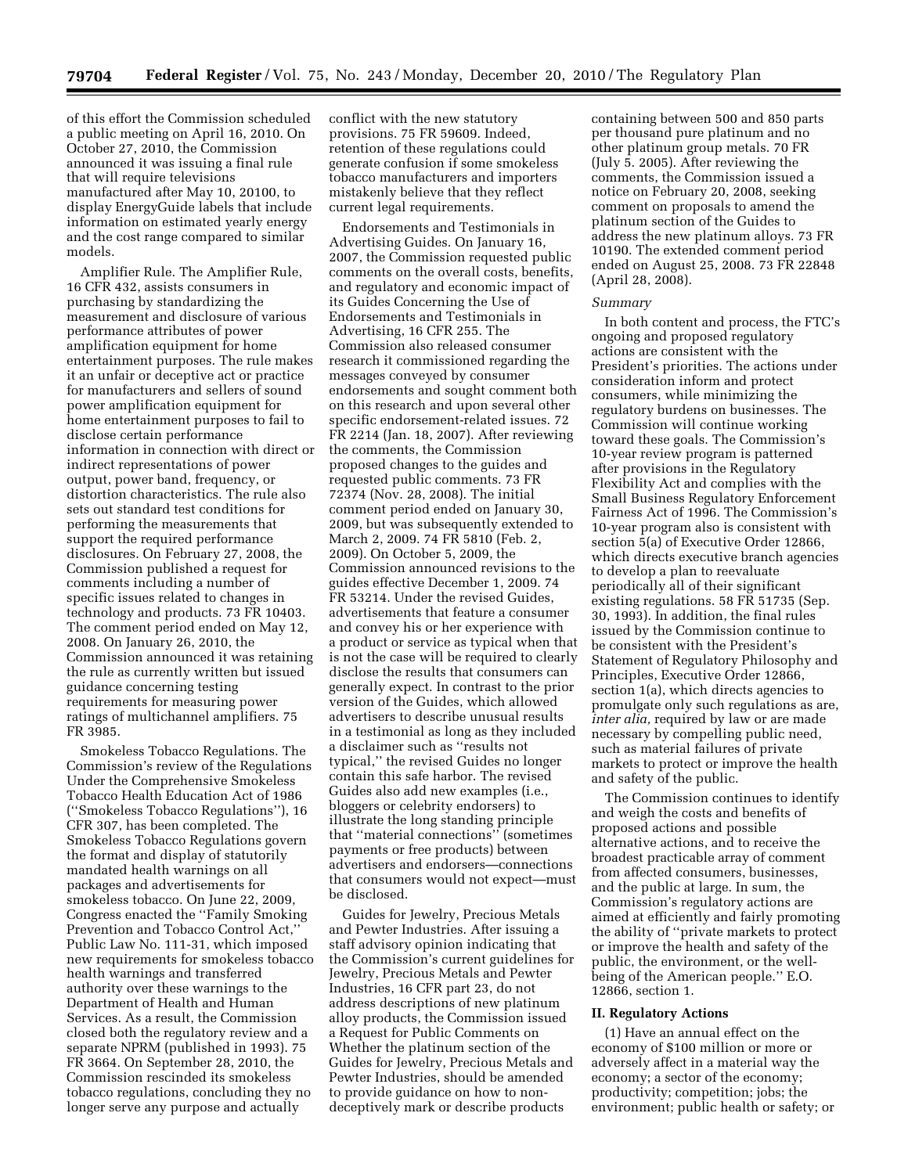of this effort the Commission scheduled a public meeting on April 16, 2010. On October 27, 2010, the Commission announced it was issuing a final rule that will require televisions manufactured after May 10, 20100, to display EnergyGuide labels that include information on estimated yearly energy and the cost range compared to similar models.

Amplifier Rule. The Amplifier Rule, 16 CFR 432, assists consumers in purchasing by standardizing the measurement and disclosure of various performance attributes of power amplification equipment for home entertainment purposes. The rule makes it an unfair or deceptive act or practice for manufacturers and sellers of sound power amplification equipment for home entertainment purposes to fail to disclose certain performance information in connection with direct or indirect representations of power output, power band, frequency, or distortion characteristics. The rule also sets out standard test conditions for performing the measurements that support the required performance disclosures. On February 27, 2008, the Commission published a request for comments including a number of specific issues related to changes in technology and products. 73 FR 10403. The comment period ended on May 12, 2008. On January 26, 2010, the Commission announced it was retaining the rule as currently written but issued guidance concerning testing requirements for measuring power ratings of multichannel amplifiers. 75 FR 3985.

Smokeless Tobacco Regulations. The Commission's review of the Regulations Under the Comprehensive Smokeless Tobacco Health Education Act of 1986 (''Smokeless Tobacco Regulations''), 16 CFR 307, has been completed. The Smokeless Tobacco Regulations govern the format and display of statutorily mandated health warnings on all packages and advertisements for smokeless tobacco. On June 22, 2009, Congress enacted the ''Family Smoking Prevention and Tobacco Control Act,'' Public Law No. 111-31, which imposed new requirements for smokeless tobacco health warnings and transferred authority over these warnings to the Department of Health and Human Services. As a result, the Commission closed both the regulatory review and a separate NPRM (published in 1993). 75 FR 3664. On September 28, 2010, the Commission rescinded its smokeless tobacco regulations, concluding they no longer serve any purpose and actually

conflict with the new statutory provisions. 75 FR 59609. Indeed, retention of these regulations could generate confusion if some smokeless tobacco manufacturers and importers mistakenly believe that they reflect current legal requirements.

Endorsements and Testimonials in Advertising Guides. On January 16, 2007, the Commission requested public comments on the overall costs, benefits, and regulatory and economic impact of its Guides Concerning the Use of Endorsements and Testimonials in Advertising, 16 CFR 255. The Commission also released consumer research it commissioned regarding the messages conveyed by consumer endorsements and sought comment both on this research and upon several other specific endorsement-related issues. 72 FR 2214 (Jan. 18, 2007). After reviewing the comments, the Commission proposed changes to the guides and requested public comments. 73 FR 72374 (Nov. 28, 2008). The initial comment period ended on January 30, 2009, but was subsequently extended to March 2, 2009. 74 FR 5810 (Feb. 2, 2009). On October 5, 2009, the Commission announced revisions to the guides effective December 1, 2009. 74 FR 53214. Under the revised Guides, advertisements that feature a consumer and convey his or her experience with a product or service as typical when that is not the case will be required to clearly disclose the results that consumers can generally expect. In contrast to the prior version of the Guides, which allowed advertisers to describe unusual results in a testimonial as long as they included a disclaimer such as ''results not typical,'' the revised Guides no longer contain this safe harbor. The revised Guides also add new examples (i.e., bloggers or celebrity endorsers) to illustrate the long standing principle that ''material connections'' (sometimes payments or free products) between advertisers and endorsers—connections that consumers would not expect—must be disclosed.

Guides for Jewelry, Precious Metals and Pewter Industries. After issuing a staff advisory opinion indicating that the Commission's current guidelines for Jewelry, Precious Metals and Pewter Industries, 16 CFR part 23, do not address descriptions of new platinum alloy products, the Commission issued a Request for Public Comments on Whether the platinum section of the Guides for Jewelry, Precious Metals and Pewter Industries, should be amended to provide guidance on how to nondeceptively mark or describe products

containing between 500 and 850 parts per thousand pure platinum and no other platinum group metals. 70 FR (July 5. 2005). After reviewing the comments, the Commission issued a notice on February 20, 2008, seeking comment on proposals to amend the platinum section of the Guides to address the new platinum alloys. 73 FR 10190. The extended comment period ended on August 25, 2008. 73 FR 22848 (April 28, 2008).

## *Summary*

In both content and process, the FTC's ongoing and proposed regulatory actions are consistent with the President's priorities. The actions under consideration inform and protect consumers, while minimizing the regulatory burdens on businesses. The Commission will continue working toward these goals. The Commission's 10-year review program is patterned after provisions in the Regulatory Flexibility Act and complies with the Small Business Regulatory Enforcement Fairness Act of 1996. The Commission's 10-year program also is consistent with section 5(a) of Executive Order 12866, which directs executive branch agencies to develop a plan to reevaluate periodically all of their significant existing regulations. 58 FR 51735 (Sep. 30, 1993). In addition, the final rules issued by the Commission continue to be consistent with the President's Statement of Regulatory Philosophy and Principles, Executive Order 12866, section 1(a), which directs agencies to promulgate only such regulations as are, *inter alia,* required by law or are made necessary by compelling public need, such as material failures of private markets to protect or improve the health and safety of the public.

The Commission continues to identify and weigh the costs and benefits of proposed actions and possible alternative actions, and to receive the broadest practicable array of comment from affected consumers, businesses, and the public at large. In sum, the Commission's regulatory actions are aimed at efficiently and fairly promoting the ability of ''private markets to protect or improve the health and safety of the public, the environment, or the wellbeing of the American people.'' E.O. 12866, section 1.

### **II. Regulatory Actions**

(1) Have an annual effect on the economy of \$100 million or more or adversely affect in a material way the economy; a sector of the economy; productivity; competition; jobs; the environment; public health or safety; or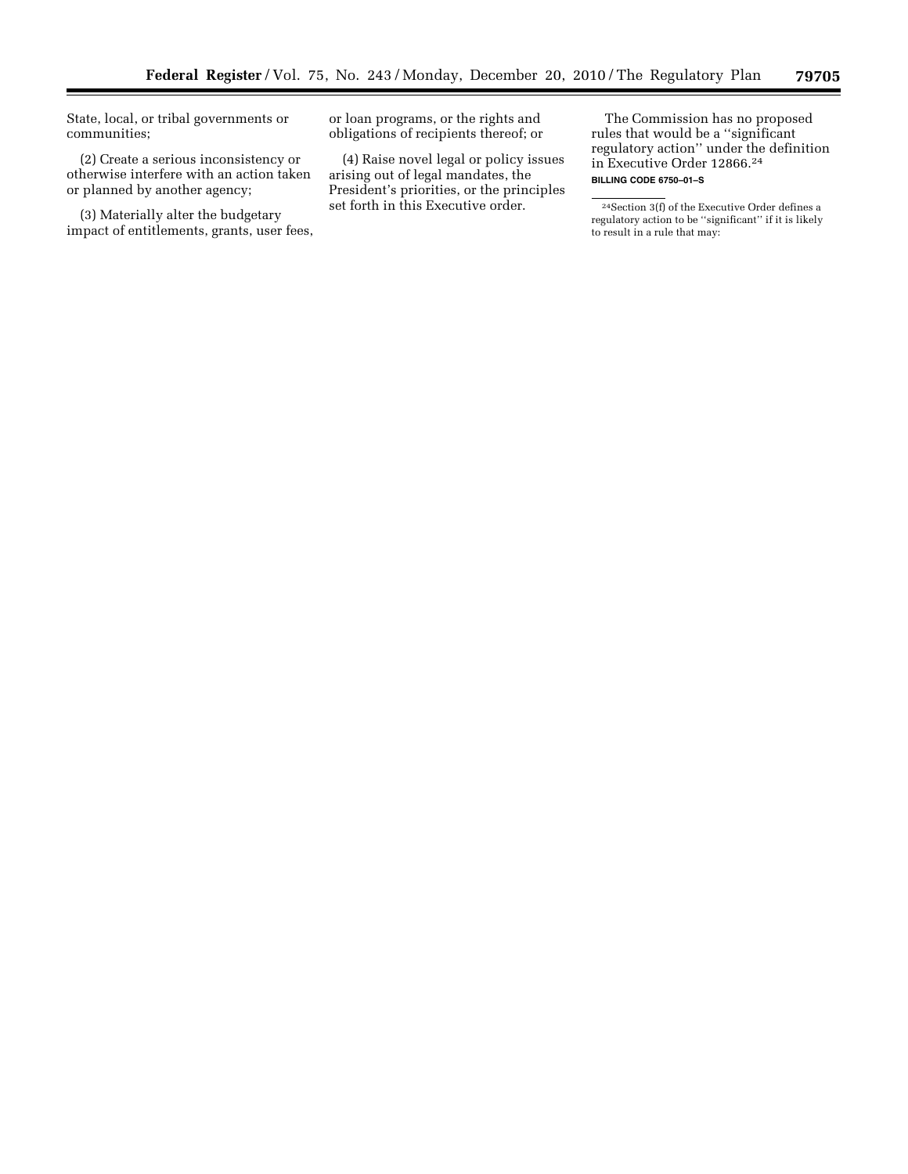State, local, or tribal governments or communities;

(2) Create a serious inconsistency or otherwise interfere with an action taken or planned by another agency;

(3) Materially alter the budgetary impact of entitlements, grants, user fees,

or loan programs, or the rights and obligations of recipients thereof; or

(4) Raise novel legal or policy issues arising out of legal mandates, the President's priorities, or the principles set forth in this Executive order.

The Commission has no proposed rules that would be a ''significant regulatory action'' under the definition in Executive Order 12866.24 **BILLING CODE 6750–01–S** 

24Section 3(f) of the Executive Order defines a regulatory action to be ''significant'' if it is likely to result in a rule that may: